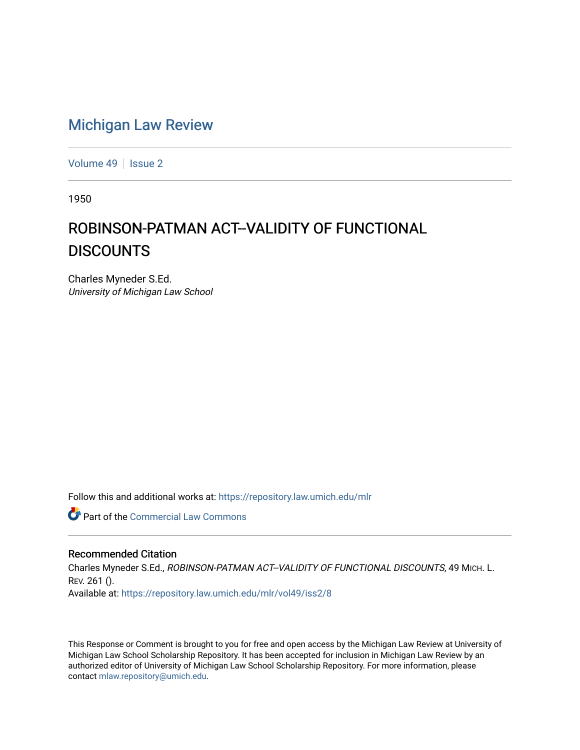# [Michigan Law Review](https://repository.law.umich.edu/mlr)

[Volume 49](https://repository.law.umich.edu/mlr/vol49) | [Issue 2](https://repository.law.umich.edu/mlr/vol49/iss2)

1950

# ROBINSON-PATMAN ACT--VALIDITY OF FUNCTIONAL **DISCOUNTS**

Charles Myneder S.Ed. University of Michigan Law School

Follow this and additional works at: [https://repository.law.umich.edu/mlr](https://repository.law.umich.edu/mlr?utm_source=repository.law.umich.edu%2Fmlr%2Fvol49%2Fiss2%2F8&utm_medium=PDF&utm_campaign=PDFCoverPages) 

**C** Part of the [Commercial Law Commons](http://network.bepress.com/hgg/discipline/586?utm_source=repository.law.umich.edu%2Fmlr%2Fvol49%2Fiss2%2F8&utm_medium=PDF&utm_campaign=PDFCoverPages)

#### Recommended Citation

Charles Myneder S.Ed., ROBINSON-PATMAN ACT--VALIDITY OF FUNCTIONAL DISCOUNTS, 49 MICH. L. REV. 261 (). Available at: [https://repository.law.umich.edu/mlr/vol49/iss2/8](https://repository.law.umich.edu/mlr/vol49/iss2/8?utm_source=repository.law.umich.edu%2Fmlr%2Fvol49%2Fiss2%2F8&utm_medium=PDF&utm_campaign=PDFCoverPages)

This Response or Comment is brought to you for free and open access by the Michigan Law Review at University of Michigan Law School Scholarship Repository. It has been accepted for inclusion in Michigan Law Review by an authorized editor of University of Michigan Law School Scholarship Repository. For more information, please contact [mlaw.repository@umich.edu](mailto:mlaw.repository@umich.edu).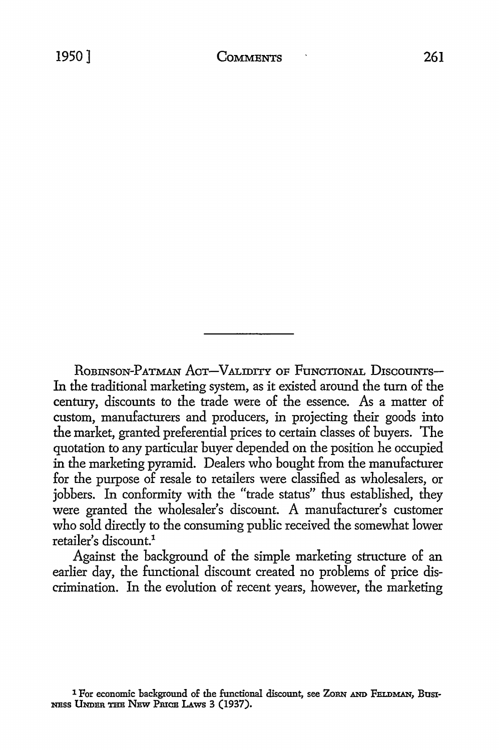ROBINSON-PATMAN ACT-VALIDITY OF FUNCTIONAL DISCOUNTS-In the traditional marketing system, as it existed around the turn of the century, discounts to the trade were of the essence. As a matter of custom, manufacturers and producers, in projecting their goods into the market, granted preferential prices to certain classes of buyers. The quotation to any particular buyer depended on the position he occupied in the marketing pyramid. Dealers who bought from the manufacturer for the purpose of resale to retailers were classified as wholesalers, or jobbers. In conformity with the "trade status" thus established, they were granted the wholesaler's discoant. A manufacturer's customer who sold directly to the consuming public received the somewhat lower retailer's discount.1

Against the background of the simple marketing structure of an earlier day, the functional discount created no problems of price discrimination. In the evolution of recent years, however, the marketing

<sup>1</sup> For economic background of the functional discount, see ZORN AND FELDMAN, Busi-NESS UNDER THE NEW PRICE LAWS 3 (1937).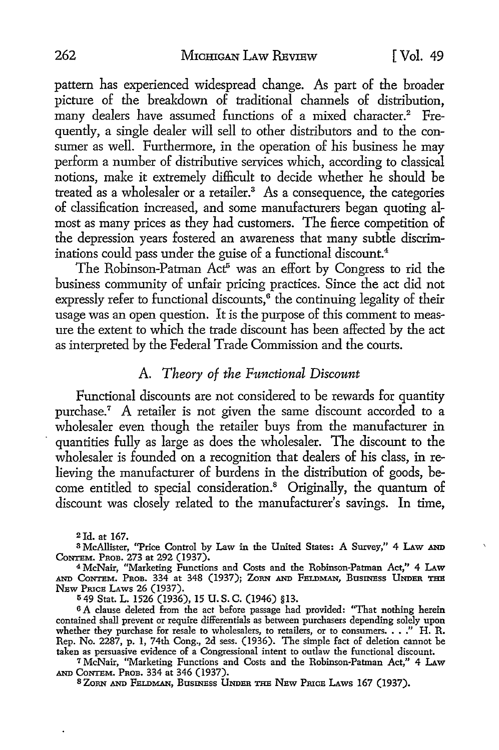pattern has experienced widespread change. As part of the broader picture of the breakdown of traditional channels of distribution, many dealers have assumed functions of a mixed character.<sup>2</sup> Frequently, a single dealer will sell to other distributors and to the consumer as well. Furthermore, in the operation of his business he may perform a number of distributive services which, according to classical notions, make it extremely difficult to decide whether he should be treated as a wholesaler or a retailer.<sup>3</sup> As a consequence, the categories of classification increased, and some manufacturers began quoting almost as many prices as they had customers. The fierce competition of the depression years fostered an awareness that many subtle discriminations could pass under the guise of a functional discount.<sup>4</sup>

The Robinson-Patman Act<sup>5</sup> was an effort by Congress to rid the business community of unfair pricing practices. Since the act did not expressly refer to functional discounts, $\delta$  the continuing legality of their usage was an open question. It is the purpose of this comment to measure the extent to which the trade discount has been affected by the act as interpreted by the Federal Trade Commission and the courts.

## A. *Theory of the Functional Discount*

Functional discounts are not considered to be rewards for quantity purchase.7 A retailer is not given the same discount accorded to a wholesaler even though the retailer buys from the manufacturer in quantities fully as large as does the wholesaler. The discount to the wholesaler is founded on a recognition that dealers of his class, in relieving the manufacturer of burdens in the distribution of goods, become entitled to special consideration.<sup>8</sup> Originally, the quantum of discount was closely related to the manufacturer's savings. In time,

2Jd. at 167.

<sup>3</sup>McAllister, "Price Control by Law in the United States: A Survey,'' 4 LAw AND CoNTEM. PROB. 273 at 292 (1937).

4 McNair, "Marketing Functions and Costs and the Robinson-Patman Act," 4 LAw AND CONTEM. PROB. 334 at 348 (1937); ZORN AND FELDMAN, BUSINESS UNDER THE NEW PRICE LAWS 26 (1937).

<sup>5</sup>49 Stat. L. 1526 (1936), 15 U.S. C. (1946) §13.

6 A clause deleted from the act before passage had provided: "That nothing herein contained shall prevent or require differentials as between purchasers depending solely upon contained shall prevent or require differentials as between purchasers depending solely upon<br>whether they purchase for resale to wholesalers, to retailers, or to consumers. . . ." H. R.<br>Rep. No. 2287, p. 1, 74th Cong., 2d taken as persuasive evidence of a Congressional intent to outlaw the functional discount.

7 McNair, "Marketing Functions and Costs and the Robinson-Patman Act,'' 4 LAw AND CoNTEM. PROB. 334 at 346 (1937).

s ZoRN AND FELDMAN, Busnrass UNDER THE NBw PruCB LAws 167 (1937).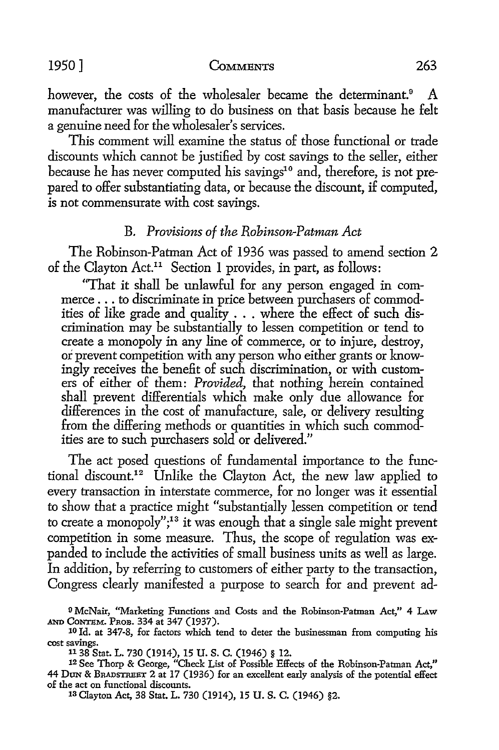#### 1950] **CoMMENTS** 263

however, the costs of the wholesaler became the determinant.<sup>9</sup> A manufacturer was willing to do business on that basis because he felt a genuine need for the wholesaler's services.

This comment will examine the status of those functional or trade discounts which cannot be justified by cost savings to the seller, either because he has never computed his savings<sup>10</sup> and, therefore, is not prepared to offer substantiating data, or because the discount, if computed, is not commensurate with cost savings.

#### B. *Provisions of the Robinson-Patman Act*

The Robinson-Patman Act of 1936 was passed to amend section 2 of the Clayton Act.11 Section I provides, in part, as follows:

"That it shall be unlawful for any person engaged in commerce ... to discriminate in price between purchasers of commodities of like grade and quality  $\dots$  where the effect of such discrimination may be substantially to lessen competition or tend to create a monopoly in any line of commerce, or to injure, destroy, or prevent competition with any person who either grants or knowingly receives the benefit of such discrimination, or with customers of either of them: *Provided,* that nothing herein contained shall prevent differentials which make only due allowance for differences in the cost of manufacture, sale, or delivery resulting from the differing methods or quantities in which such commodities are to such purchasers sold or delivered."

The act posed questions of fundamental importance to the functional discount.12 Unlike the Clayton Act, the new law applied to every transaction in interstate commerce, for no longer was it essential to show that a practice might "substantially lessen competition or tend to create a monopoly";<sup>13</sup> it was enough that a single sale might prevent competition in some measure. Thus, the scope of regulation was expanded to include the activities of small business units as well as large. In addition, by referring to customers of either party to the transaction, Congress clearly manifested a purpose to search for and prevent ad-

13 Clayton Act, 38 Stat. L. 730 (1914), 15 U.S. C. (1946) §2.

<sup>9</sup> McNair, "Marketing Functions and Costs and the Robinson-Patman Act," 4 LAw AND CoNTEM. Pnon. 334 at 347 (1937).

<sup>&</sup>lt;sup>10</sup> Id. at 347-8, for factors which tend to deter the businessman from computing his cost savings.

<sup>&</sup>lt;sup>11</sup> 38 Stat. L. 730 (1914), 15 U. S. C. (1946) § 12.<br><sup>12</sup> See Thorp & George, "Check List of Possible Effects of the Robinson-Patman Act," 44 DON & BRADSTREET 2 at 17 (1936) for an excellent early analysis of the potential effect of the act on functional discounts.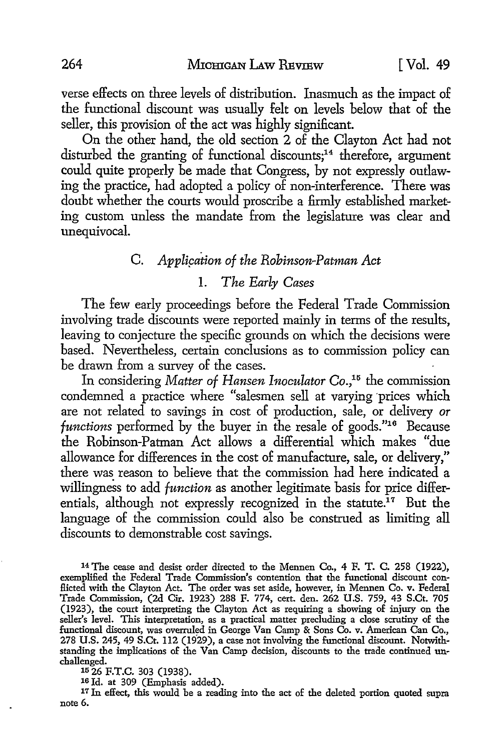verse effects on three levels of distribution. Inasmuch as the impact of the functional discount was usually felt on levels below that of the seller, this provision of the act was highly significant.

On the other hand, the old section 2 of the Clayton Act had not disturbed the granting of functional discounts;<sup>14</sup> therefore, argument could quite properly be made that Congress, by not expressly outlawing the practice, had adopted a policy of non-interference. There was doubt whether the courts would proscribe a firmly established marketing custom unless the mandate from the legislature was clear and unequivocal.

# C. *Applipation of the Robinson-Patman Act*

# I. *The Early Cases*

The few early proceedings before the Federal Trade Commission involving trade discounts were reported mainly in terms of the results, leaving to conjecture the specific grounds on which the decisions were based. Nevertheless, certain conclusions as to commission policy can be drawn from a survey of the cases.

In considering *Matter of Hansen Inoculator* Co.,<sup>15</sup> the commission condemned a practice where "salesmen sell at varying 'prices which are not related to savings in cost of production, sale, or delivery *or functions* performed by the buyer in the resale of goods."16 Because the Robinson-Patman Act allows a differential which makes "due allowance for differences in the cost of manufacture, sale, or delivery," there was reason to believe that the commission had here indicated a willingness to add *function* as another legitimate basis for price differentials, although not expressly recognized in the statute.<sup>17</sup> But the language of the commission could also be construed as limiting all discounts to demonstrable cost savings.

14 The cease and desist order directed to the Mennen Co., 4 F. T. C. 258 (1922), exemplified the Federal Trade Commission's contention that the functional discount conflicted with the Clayton Act. The order was set aside, however, in Mennen Co. v. Federal Trade Commission, (2d Cir. 1923) 288 F. 774, cert. den. 262 U.S. 759, 43 S.Ct. 705 (1923), the court interpreting the Clayton Act as requiring a showing of injury on the seller's level. This interpretation, as a practical matter precluding a close scrutiny of the functional discount, was overruled in George Van Camp & Sons Co. v. American Can Co., 278 U.S. 245, 49 S.Ct. 112 (1929), a case not involving the functional discount. Notwithstanding the implications of the Van Camp decision, discounts to the trade continued un- challenged.

15 26 F.T.C. 303 (1938).

16 Id. at 309 (Emphasis added).

<sup>17</sup> In effect, this would be a reading into the act of the deleted portion quoted supra note 6.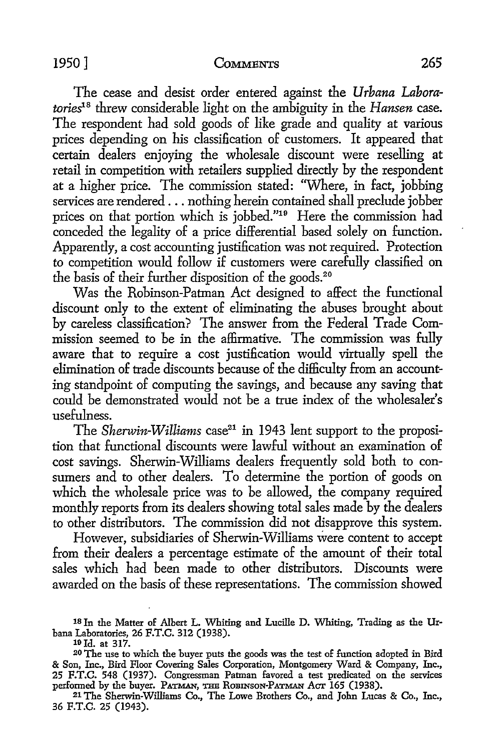The cease and desist order entered against the *Urbana Laboratories18* threw considerable light on the ambiguity in the *Hansen* case. The respondent had sold goods of like grade and quality at various prices depending on his classification of customers. It appeared that certain dealers enjoying the wholesale discount were reselling at retail in competition with retailers supplied directly by the respondent at a higher price. The commission stated: ''Where, in fact, jobbing services are rendered ... nothing herein contained shall preclude jobber prices on that portion which is jobbed."19 Here the commission had conceded the legality of a price differential based solely on function. Apparently, a cost accounting justification was not required. Protection to competition would follow if customers were carefully classified on the basis of their further disposition of the goods.<sup>20</sup>

Was the Robinson-Patman *Act* designed to affect the functional discount only to the extent of eliminating the abuses brought about by careless classification? The answer from the Federal Trade Commission seemed *to* be in the affirmative. The commission was fully aware that to require a cost justification would virtually spell the elimination of trade discounts because of the difficulty from an accounting standpoint of computing the savings, and because any saving that could be demonstrated would not be a true index of the wholesaler's usefulness.

The *Sherwin-Williams* case<sup>21</sup> in 1943 lent support to the proposition that functional discounts were lawful without an examination of cost savings. Sherwin-Williams dealers frequently sold both to consumers and *to* other dealers. To determine the portion of goods on which the wholesale price was to be allowed, the company required monthly reports from its dealers showing total sales made by the dealers *to* other distributors. The commission did not disapprove this system.

However, subsidiaries of Sherwin-Williams \Vere content *to* accept from their dealers a percentage estimate of the amount of their total sales which had been made to other distributors. Discounts were awarded on the basis of these representations. The commission showed

<sup>18</sup> In the Matter of Albert L. Whiting and Lucille D. Whiting, Trading as the Ur-

<sup>&</sup>lt;sup>19</sup> Id. at 317.<br><sup>20</sup> The use to which the buyer puts the goods was the test of function adopted in Bird & Son, Inc., Bird Floor Covering Sales Corporation, Montgomery Ward & Company, Inc., 25 F.T.C. 548 (1937). Congressman Patman favored a test predicated on the services<br>performed by the buyer. Ратман, тни Rовичзон-Ратман Аст 165 (1938).

<sup>21</sup> The Sherwin-Williams Co., The Lowe Brothers Co., and John Lucas & Co., Inc., 36 F.T.C. 25 (1943).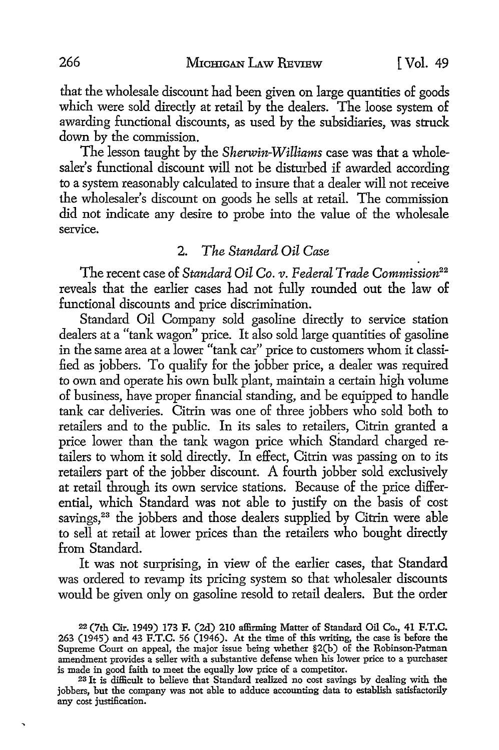that the wholesale discount had been given on large quantities of goods which were sold directly at retail by the dealers. The loose system of awarding functional discounts, as used by the subsidiaries, was struck down by the commission.

The lesson taught by the *Sherwin-Williams* case was that a wholesaler's functional discount will not be disturbed if awarded according to a system reasonably calculated to insure that a dealer will not receive the wholesaler's discount on goods he sells at retail. The commission did not indicate any desire to probe into the value of the wholesale service.

### 2. *The Standard Oil Case*

The recent case of *Standard Oil Co. v. Federal Trade Commission*<sup>22</sup> reveals that the earlier cases had not fully rounded out the law of functional discounts and price discrimination.

Standard Oil Company sold gasoline directly to service station dealers at a "tank wagon" price. It also sold large quantities of gasoline in the same area at a lower "tank car" price to customers whom it classified as jobbers. To qualify for the jobber price, a dealer was required to own and operate his own bulk plant, maintain a certain high volume of business, have proper financial standing, and be equipped to handle tank car deliveries. Citrin was one of three jobbers who sold both to retailers and to the public. In its sales to retailers, Citrin granted a price lower than the tank wagon price which Standard charged retailers to whom it sold directly. In effect, Citrin was passing on to its retailers part of the jobber discount. A fourth jobber sold exclusively at retail through its own service stations. Because of the price differential, which Standard was not able to justify on the basis of cost savings,<sup>23</sup> the jobbers and those dealers supplied by Citrin were able to sell at retail at lower prices than the retailers who bought directly from Standard.

It was not surprising, in view of the earlier cases, that Standard was ordered to revamp its pricing system so that wholesaler discounts would be given only on gasoline resold to retail dealers. But the order

 $\ddot{\phantom{0}}$ 

<sup>22 (7</sup>th Cir. 1949) 173 F. (2d) 210 affirming Matter of Standard Oil Co., 41 F.T.C. 263 (1945) and 43 F.T.C. 56 (1946). At the time of this writing, the case is before the Supreme Court on appeal, the major issue being whether §2(b) of the Robinson-Patman amendment provides a seller with a substantive defense when his lower price to a purchaser is made in good faith to meet the equally low price of a competitor.

<sup>&</sup>lt;sup>23</sup> It is difficult to believe that Standard realized no cost savings by dealing with the jobbers, but the company was not able to adduce accounting data to establish satisfactorily any cost justification.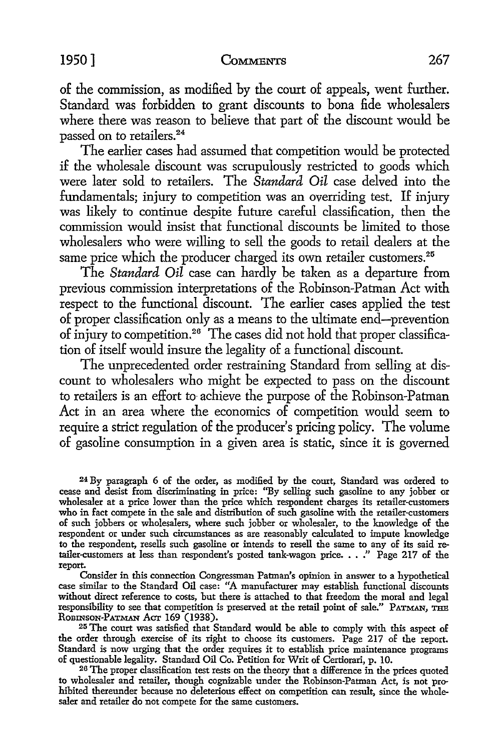#### **1950] CoMMENTS** 267

of the commission, as modified by the court of appeals, went further. Standard was forbidden to grant discounts to bona fide wholesalers where there was reason to believe that part of the discount would be passed on to retailers. 24

The earlier cases had assumed that competition would be protected if the wholesale discount was scrupulously restricted to goods which were later sold to retailers. The *Standard Oil* case delved into the fundamentals; injury to competition was an overriding test. If injury was likely to continue despite future careful classification, then the commission would insist that functional discounts be limited to those wholesalers who were willing to sell the goods to retail dealers at the same price which the producer charged its own retailer customers.<sup>25</sup>

The *Standard Oil* case can hardly be taken as a departure from previous commission interpretations of the Robinson-Patman Act with respect to the functional discount. The earlier cases applied the test of proper classification only as a means to the ultimate end-prevention of injury to competition.26 The cases did not hold that proper classification of itself would insure the legality of a functional discount.

The unprecedented order restraining Standard from selling at discount to wholesalers who might be expected to pass on the discount to retailers is an effort to- achieve the purpose of the Robinson-Patman Act in an area where the economics of competition would seem to require a strict regulation of the producer's pricing policy. The volume of gasoline consumption in a given area is static, since it is governed

24 By paragraph 6 of the order, as modified by the court, Standard was ordered to cease and desist from discriminating in price: ''By selling such gasoline to any jobber or wholesaler at a price lower than the price which respondent charges its retailer-customers who in fact compete in the sale and distribution of such gasoline with the retailer-customers of such jobbers or wholesalers, where such jobber or wholesaler, to the knowledge of the respondent or under such circumstances as are reasonably calculated to impute knowledge to the respondent, resells such gasoline or intends to resell the same to any of its said retailer-customers at less than respondent's posted tank-wagon price.  $\ldots$ ." Page 217 of the report.

Consider in this connection Congressman Patman's opinion in answer to a hypothetical case similar to the Standard Oil case: "A manufacturer may establish functional discounts without direct reference to costs, but there is attached to that freedom the moral and legal responsibility to see that competition is preserved at the retail point of sale." PATMAN, THE ROBINSON-PATMAN ACT 169 (1938).

25 The court was satisfied that Standard would be able to comply with this aspect of the order through exercise of its right to choose its customers. Page 217 of the report. Standard is now urging that the order requires it to establish price maintenance programs of questionable legality. Standard Oil Co. Petition for Writ of Certiorari, p. 10.

26 The proper classification test rests on the theory that a difference in the prices quoted to wholesaler and retailer, though cognizable under the Robinson-Patman Act, is not prohibited thereunder because no deleterious effect on competition can result, since the wholesaler and retailer do not compete for the same customers.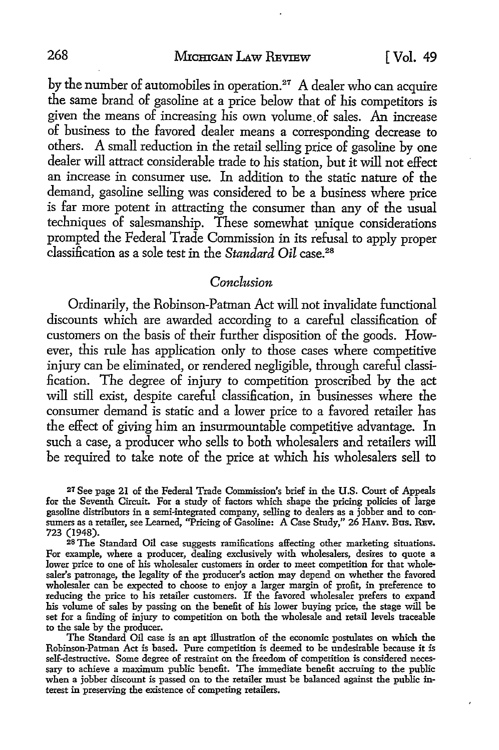by the number of automobiles in operation. $27$  A dealer who can acquire the same brand of gasoline at a price below that of his competitors is given the means of increasing his own volume. of sales. An increase of business to the favored dealer means a corresponding decrease to others. A small reduction in the retail selling price of gasoline by one dealer will attract considerable trade to his station, but it will not effect an increase in consumer use. In addition to the static nature of the demand, gasoline selling was considered to be a business where price is far more potent in attracting the consumer than any of the usual techniques of salesmanship. These somewhat unique considerations prompted the Federal Trade Commission in its refusal to apply proper classification as a sole test in the *Standard Oil* case.<sup>28</sup>

#### *Conclusion*

Ordinarily, the Robinson-Patman Act will not invalidate functional discounts which are awarded according to a careful classification of customers on the basis of their further disposition of the goods. However, this rule has application only to those cases where competitive in jury can be eliminated, or rendered negligible, through careful classification. The degree of injury to competition proscribed by the act will still exist, despite careful classification, in businesses where the consumer demand is static and a lower price to a favored retailer has the effect of giving him an insurmountable competitive advantage. In such a case, a producer who sells to both wholesalers and retailers will be required to take note of the price at which his wholesalers sell to

27 See page 21 of the Federal Trade Commission's brief in the U.S. Court of Appeals for the Seventh Circuit. For a study of factors which shape the pricing policies of large gasoline distributors in a semi-integrated company, selling to dealers as a jobber and to consumers as a retailer, see Learned, "Pricing of Gasoline: A Case Study," 26 HARv. Bus. REv. 723 (1948).

28 The Standard Oil case suggests ramilications affecting other marketing situations. For example, where a producer, dealing exclusively with wholesalers, desires to quote a lower price to one of his wholesaler customers in order to meet competition for that wholesaler's patronage, the legality of the producer's action may depend on whether the favored wholesaler can be expected to choose to enjoy a larger margin of profit, in preference to reducing the price to his retailer customers. If the favored wholesaler prefers to expand his volume of sales by passing on the benefit of his lower buying price, the stage will be set for a finding of injury to competition on both the wholesale and retail levels traceable to the sale by the producer.

The Standard Oil case is an apt illustration of the economic postulates on which the Robinson-Patman Act is based. Pure competition is deemed to be undesirable because it is self-destructive. Some degree of restraint on the freedom of competition is considered necessary to achieve a maximum public benefit. The immediate benefit accruing to the public when a jobber discount is passed on to the retailer must be balanced against the public interest in preserving the existence of competing retailers.